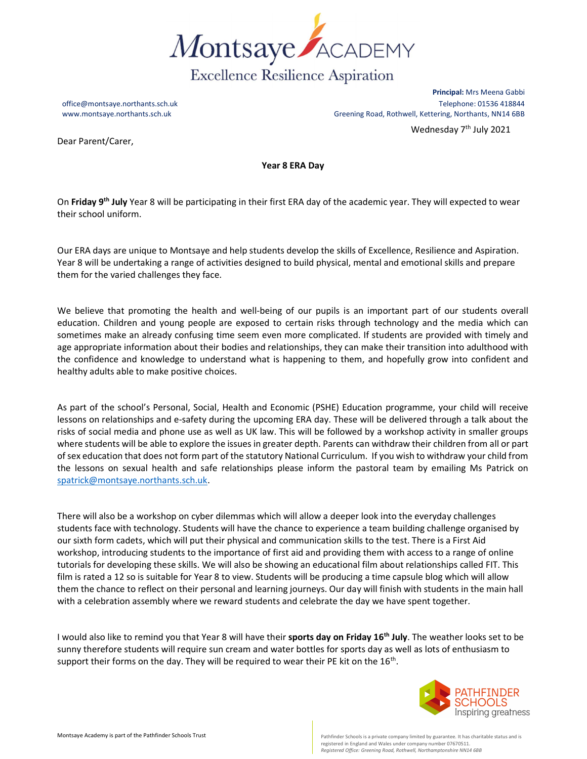

Principal: Mrs Meena Gabbi office@montsaye.northants.sch.uk Telephone: 01536 418844 www.montsaye.northants.sch.uk GBB Greening Road, Rothwell, Kettering, Northants, NN14 6BB Wednesday 7<sup>th</sup> July 2021

Dear Parent/Carer,

Year 8 ERA Day

On Friday 9<sup>th</sup> July Year 8 will be participating in their first ERA day of the academic year. They will expected to wear their school uniform.

Our ERA days are unique to Montsaye and help students develop the skills of Excellence, Resilience and Aspiration. Year 8 will be undertaking a range of activities designed to build physical, mental and emotional skills and prepare them for the varied challenges they face.

We believe that promoting the health and well-being of our pupils is an important part of our students overall education. Children and young people are exposed to certain risks through technology and the media which can sometimes make an already confusing time seem even more complicated. If students are provided with timely and age appropriate information about their bodies and relationships, they can make their transition into adulthood with the confidence and knowledge to understand what is happening to them, and hopefully grow into confident and healthy adults able to make positive choices.

As part of the school's Personal, Social, Health and Economic (PSHE) Education programme, your child will receive lessons on relationships and e-safety during the upcoming ERA day. These will be delivered through a talk about the risks of social media and phone use as well as UK law. This will be followed by a workshop activity in smaller groups where students will be able to explore the issues in greater depth. Parents can withdraw their children from all or part of sex education that does not form part of the statutory National Curriculum. If you wish to withdraw your child from the lessons on sexual health and safe relationships please inform the pastoral team by emailing Ms Patrick on spatrick@montsaye.northants.sch.uk.

There will also be a workshop on cyber dilemmas which will allow a deeper look into the everyday challenges students face with technology. Students will have the chance to experience a team building challenge organised by our sixth form cadets, which will put their physical and communication skills to the test. There is a First Aid workshop, introducing students to the importance of first aid and providing them with access to a range of online tutorials for developing these skills. We will also be showing an educational film about relationships called FIT. This film is rated a 12 so is suitable for Year 8 to view. Students will be producing a time capsule blog which will allow them the chance to reflect on their personal and learning journeys. Our day will finish with students in the main hall with a celebration assembly where we reward students and celebrate the day we have spent together.

I would also like to remind you that Year 8 will have their sports day on Friday 16<sup>th</sup> July. The weather looks set to be sunny therefore students will require sun cream and water bottles for sports day as well as lots of enthusiasm to support their forms on the day. They will be required to wear their PE kit on the  $16<sup>th</sup>$ .



registered in England and Wales under company number 07670511. Registered Office: Greening Road, Rothwell, Northamptonshire NN14 6BB